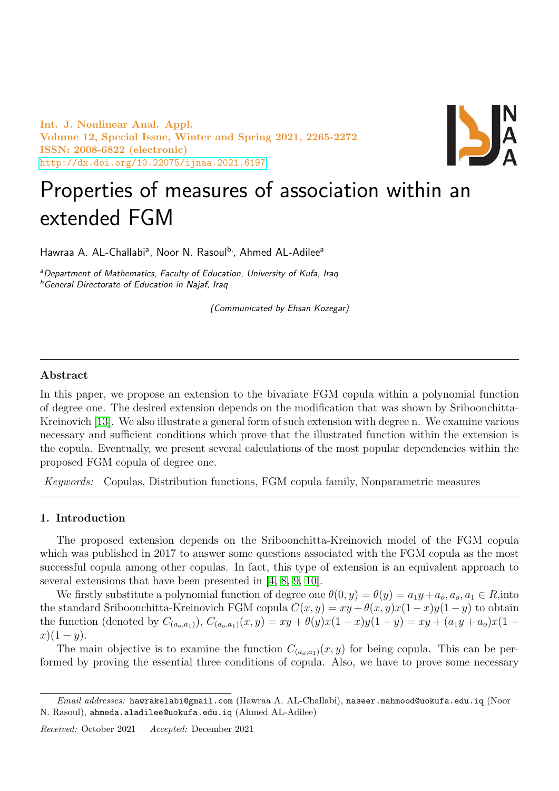Int. J. Nonlinear Anal. Appl. Volume 12, Special Issue, Winter and Spring 2021, 2265-2272 ISSN: 2008-6822 (electronic) <http://dx.doi.org/10.22075/ijnaa.2021.6197>



# Properties of measures of association within an extended FGM

Hawraa A. AL-Challabi<sup>a</sup>, Noor N. Rasoul<sup>b,</sup>, Ahmed AL-Adilee<sup>a</sup>

aDepartment of Mathematics, Faculty of Education, University of Kufa, Iraq **b**General Directorate of Education in Najaf, Iraq

(Communicated by Ehsan Kozegar)

# Abstract

In this paper, we propose an extension to the bivariate FGM copula within a polynomial function of degree one. The desired extension depends on the modification that was shown by Sriboonchitta-Kreinovich [\[13\]](#page-7-0). We also illustrate a general form of such extension with degree n. We examine various necessary and sufficient conditions which prove that the illustrated function within the extension is the copula. Eventually, we present several calculations of the most popular dependencies within the proposed FGM copula of degree one.

Keywords: Copulas, Distribution functions, FGM copula family, Nonparametric measures

## 1. Introduction

The proposed extension depends on the Sriboonchitta-Kreinovich model of the FGM copula which was published in 2017 to answer some questions associated with the FGM copula as the most successful copula among other copulas. In fact, this type of extension is an equivalent approach to several extensions that have been presented in [\[4,](#page-7-1) [8,](#page-7-2) [9,](#page-7-3) [10\]](#page-7-4).

We firstly substitute a polynomial function of degree one  $\theta(0, y) = \theta(y) = a_1y + a_o, a_o, a_1 \in R$ , into the standard Sriboonchitta-Kreinovich FGM copula  $C(x, y) = xy + \theta(x, y)x(1 - x)y(1 - y)$  to obtain the function (denoted by  $C_{(a_0,a_1)}$ ),  $C_{(a_0,a_1)}(x,y) = xy + \theta(y)x(1-x)y(1-y) = xy + (a_1y + a_0)x(1-y)$  $x(1-y)$ .

The main objective is to examine the function  $C_{(a_0,a_1)}(x,y)$  for being copula. This can be performed by proving the essential three conditions of copula. Also, we have to prove some necessary

 $Email \ addresses: \$ hawrakelabi@gmail.com (Hawraa A. AL-Challabi), naseer.mahmood@uokufa.edu.iq (Noor N. Rasoul), ahmeda.aladilee@uokufa.edu.iq (Ahmed AL-Adilee)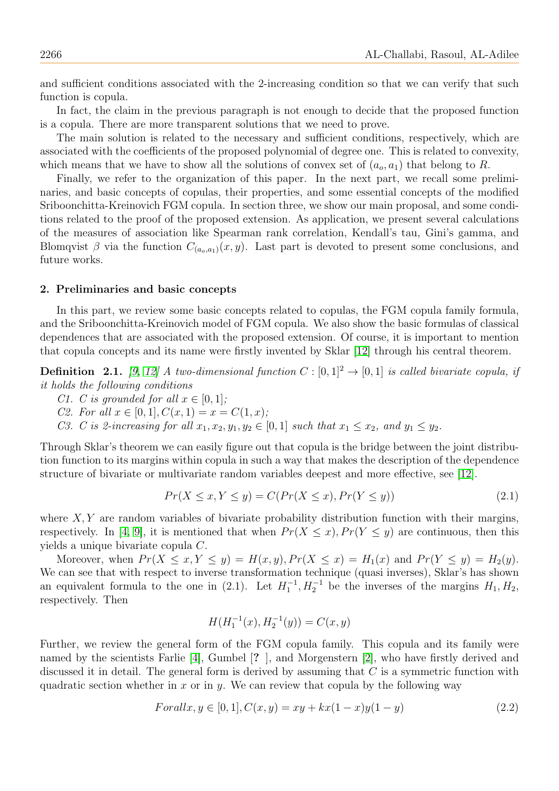and sufficient conditions associated with the 2-increasing condition so that we can verify that such function is copula.

In fact, the claim in the previous paragraph is not enough to decide that the proposed function is a copula. There are more transparent solutions that we need to prove.

The main solution is related to the necessary and sufficient conditions, respectively, which are associated with the coefficients of the proposed polynomial of degree one. This is related to convexity, which means that we have to show all the solutions of convex set of  $(a_0, a_1)$  that belong to R.

Finally, we refer to the organization of this paper. In the next part, we recall some preliminaries, and basic concepts of copulas, their properties, and some essential concepts of the modified Sriboonchitta-Kreinovich FGM copula. In section three, we show our main proposal, and some conditions related to the proof of the proposed extension. As application, we present several calculations of the measures of association like Spearman rank correlation, Kendall's tau, Gini's gamma, and Blomqvist  $\beta$  via the function  $C_{(a_0,a_1)}(x,y)$ . Last part is devoted to present some conclusions, and future works.

#### 2. Preliminaries and basic concepts

In this part, we review some basic concepts related to copulas, the FGM copula family formula, and the Sriboonchitta-Kreinovich model of FGM copula. We also show the basic formulas of classical dependences that are associated with the proposed extension. Of course, it is important to mention that copula concepts and its name were firstly invented by Sklar [\[12\]](#page-7-5) through his central theorem.

**Definition** 2.1. [\[9,](#page-7-3) [12\]](#page-7-5) A two-dimensional function  $C : [0, 1]^2 \rightarrow [0, 1]$  is called bivariate copula, if it holds the following conditions

- C1. C is grounded for all  $x \in [0, 1]$ ;
- C2. For all  $x \in [0,1], C(x,1) = x = C(1,x);$

C3. C is 2-increasing for all  $x_1, x_2, y_1, y_2 \in [0, 1]$  such that  $x_1 \leq x_2$ , and  $y_1 \leq y_2$ .

Through Sklar's theorem we can easily figure out that copula is the bridge between the joint distribution function to its margins within copula in such a way that makes the description of the dependence structure of bivariate or multivariate random variables deepest and more effective, see [\[12\]](#page-7-5).

$$
Pr(X \le x, Y \le y) = C(Pr(X \le x), Pr(Y \le y))
$$
\n
$$
(2.1)
$$

where  $X, Y$  are random variables of bivariate probability distribution function with their margins, respectively. In [\[4,](#page-7-1) [9\]](#page-7-3), it is mentioned that when  $Pr(X \leq x)$ ,  $Pr(Y \leq y)$  are continuous, then this yields a unique bivariate copula C.

Moreover, when  $Pr(X \leq x, Y \leq y) = H(x, y), Pr(X \leq x) = H_1(x)$  and  $Pr(Y \leq y) = H_2(y)$ . We can see that with respect to inverse transformation technique (quasi inverses), Sklar's has shown an equivalent formula to the one in (2.1). Let  $H_1^{-1}, H_2^{-1}$  be the inverses of the margins  $H_1, H_2$ , respectively. Then

$$
H(H_1^{-1}(x), H_2^{-1}(y)) = C(x, y)
$$

Further, we review the general form of the FGM copula family. This copula and its family were named by the scientists Farlie [\[4\]](#page-7-1), Gumbel [? ], and Morgenstern [\[2\]](#page-7-6), who have firstly derived and discussed it in detail. The general form is derived by assuming that  $C$  is a symmetric function with quadratic section whether in x or in y. We can review that copula by the following way

$$
For all x, y \in [0, 1], C(x, y) = xy + kx(1 - x)y(1 - y)
$$
\n
$$
(2.2)
$$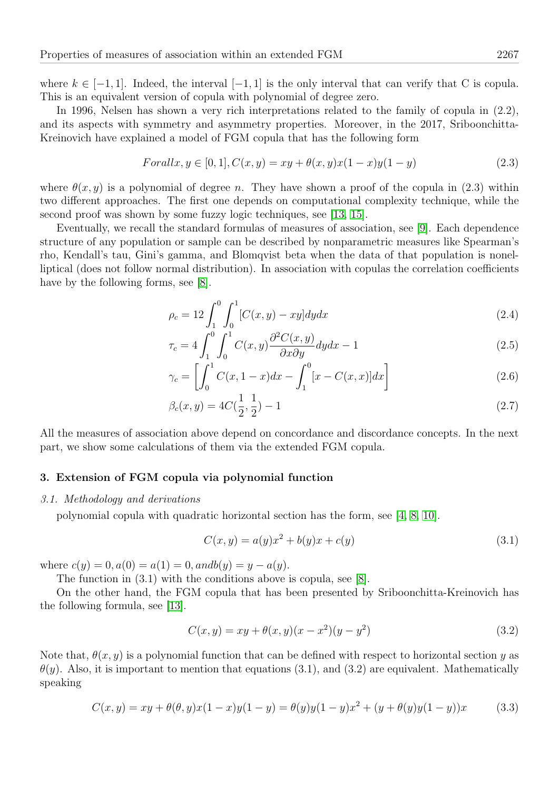where  $k \in [-1, 1]$ . Indeed, the interval  $[-1, 1]$  is the only interval that can verify that C is copula. This is an equivalent version of copula with polynomial of degree zero.

In 1996, Nelsen has shown a very rich interpretations related to the family of copula in (2.2), and its aspects with symmetry and asymmetry properties. Moreover, in the 2017, Sriboonchitta-Kreinovich have explained a model of FGM copula that has the following form

$$
For all x, y \in [0, 1], C(x, y) = xy + \theta(x, y)x(1 - x)y(1 - y)
$$
\n(2.3)

where  $\theta(x, y)$  is a polynomial of degree n. They have shown a proof of the copula in (2.3) within two different approaches. The first one depends on computational complexity technique, while the second proof was shown by some fuzzy logic techniques, see [\[13,](#page-7-0) [15\]](#page-7-7).

Eventually, we recall the standard formulas of measures of association, see [\[9\]](#page-7-3). Each dependence structure of any population or sample can be described by nonparametric measures like Spearman's rho, Kendall's tau, Gini's gamma, and Blomqvist beta when the data of that population is nonelliptical (does not follow normal distribution). In association with copulas the correlation coefficients have by the following forms, see [\[8\]](#page-7-2).

$$
\rho_c = 12 \int_1^0 \int_0^1 [C(x, y) - xy] dy dx \tag{2.4}
$$

$$
\tau_c = 4 \int_1^0 \int_0^1 C(x, y) \frac{\partial^2 C(x, y)}{\partial x \partial y} dy dx - 1 \tag{2.5}
$$

$$
\gamma_c = \left[ \int_0^1 C(x, 1-x) dx - \int_1^0 [x - C(x, x)] dx \right]
$$
\n(2.6)

$$
\beta_c(x,y) = 4C(\frac{1}{2},\frac{1}{2}) - 1\tag{2.7}
$$

All the measures of association above depend on concordance and discordance concepts. In the next part, we show some calculations of them via the extended FGM copula.

## 3. Extension of FGM copula via polynomial function

#### 3.1. Methodology and derivations

polynomial copula with quadratic horizontal section has the form, see [\[4,](#page-7-1) [8,](#page-7-2) [10\]](#page-7-4).

$$
C(x, y) = a(y)x^{2} + b(y)x + c(y)
$$
\n(3.1)

where  $c(y) = 0, a(0) = a(1) = 0, and b(y) = y - a(y)$ .

The function in (3.1) with the conditions above is copula, see [\[8\]](#page-7-2).

On the other hand, the FGM copula that has been presented by Sriboonchitta-Kreinovich has the following formula, see [\[13\]](#page-7-0).

$$
C(x, y) = xy + \theta(x, y)(x - x^{2})(y - y^{2})
$$
\n(3.2)

Note that,  $\theta(x, y)$  is a polynomial function that can be defined with respect to horizontal section y as  $\theta(y)$ . Also, it is important to mention that equations (3.1), and (3.2) are equivalent. Mathematically speaking

$$
C(x,y) = xy + \theta(\theta,y)x(1-x)y(1-y) = \theta(y)y(1-y)x^{2} + (y + \theta(y)y(1-y))x
$$
 (3.3)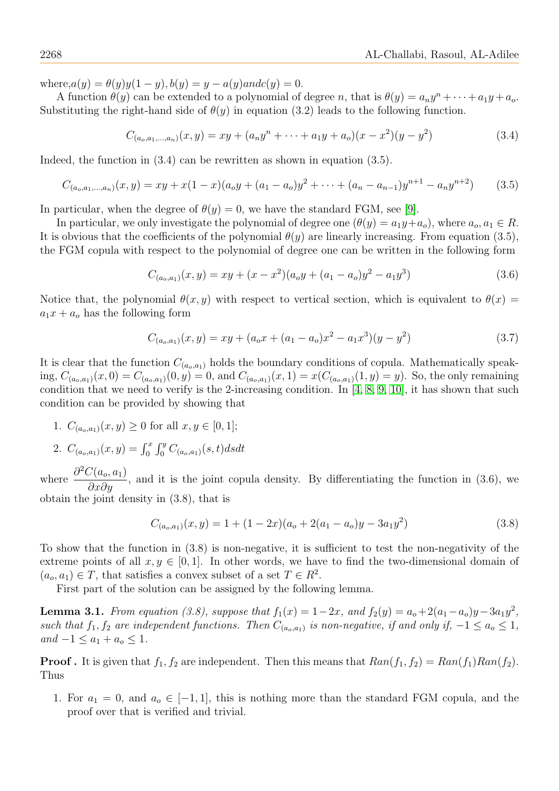where, $a(y) = \theta(y)y(1-y), b(y) = y - a(y)$  and  $c(y) = 0$ .

A function  $\theta(y)$  can be extended to a polynomial of degree n, that is  $\theta(y) = a_n y^n + \cdots + a_1 y + a_o$ . Substituting the right-hand side of  $\theta(y)$  in equation (3.2) leads to the following function.

$$
C_{(a_o,a_1,...,a_n)}(x,y) = xy + (a_n y^n + \dots + a_1 y + a_o)(x - x^2)(y - y^2)
$$
\n(3.4)

Indeed, the function in  $(3.4)$  can be rewritten as shown in equation  $(3.5)$ .

$$
C_{(a_o,a_1,...,a_n)}(x,y) = xy + x(1-x)(a_oy + (a_1 - a_o)y^2 + \dots + (a_n - a_{n-1})y^{n+1} - a_ny^{n+2})
$$
(3.5)

In particular, when the degree of  $\theta(y) = 0$ , we have the standard FGM, see [\[9\]](#page-7-3).

In particular, we only investigate the polynomial of degree one  $(\theta(y) = a_1y + a_0)$ , where  $a_0, a_1 \in R$ . It is obvious that the coefficients of the polynomial  $\theta(y)$  are linearly increasing. From equation (3.5), the FGM copula with respect to the polynomial of degree one can be written in the following form

$$
C_{(a_o,a_1)}(x,y) = xy + (x - x^2)(a_oy + (a_1 - a_o)y^2 - a_1y^3)
$$
\n(3.6)

Notice that, the polynomial  $\theta(x, y)$  with respect to vertical section, which is equivalent to  $\theta(x)$  =  $a_1x + a_0$  has the following form

$$
C_{(a_o,a_1)}(x,y) = xy + (a_o x + (a_1 - a_o)x^2 - a_1 x^3)(y - y^2)
$$
\n(3.7)

It is clear that the function  $C_{(a_0,a_1)}$  holds the boundary conditions of copula. Mathematically speaking,  $C_{(a_0,a_1)}(x,0) = C_{(a_0,a_1)}(0,y) = 0$ , and  $C_{(a_0,a_1)}(x,1) = x(C_{(a_0,a_1)}(1,y) = y)$ . So, the only remaining condition that we need to verify is the 2-increasing condition. In [\[4,](#page-7-1) [8,](#page-7-2) [9,](#page-7-3) [10\]](#page-7-4), it has shown that such condition can be provided by showing that

1.  $C_{(a_0,a_1)}(x,y) \geq 0$  for all  $x, y \in [0,1]$ ;

2. 
$$
C_{(a_o,a_1)}(x,y) = \int_0^x \int_0^y C_{(a_o,a_1)}(s,t) ds dt
$$

where  $\frac{\partial^2 C(a_o, a_1)}{\partial a_o}$  $\frac{\partial \phi(x_0, u_1)}{\partial x \partial y}$ , and it is the joint copula density. By differentiating the function in (3.6), we obtain the joint density in (3.8), that is

<span id="page-3-0"></span>
$$
C_{(a_o,a_1)}(x,y) = 1 + (1 - 2x)(a_o + 2(a_1 - a_o)y - 3a_1y^2)
$$
\n(3.8)

To show that the function in (3.8) is non-negative, it is sufficient to test the non-negativity of the extreme points of all  $x, y \in [0, 1]$ . In other words, we have to find the two-dimensional domain of  $(a_o, a_1) \in T$ , that satisfies a convex subset of a set  $T \in R^2$ .

First part of the solution can be assigned by the following lemma.

**Lemma 3.1.** From equation (3.8), suppose that  $f_1(x) = 1-2x$ , and  $f_2(y) = a_0 + 2(a_1 - a_0)y - 3a_1y^2$ , such that  $f_1, f_2$  are independent functions. Then  $C_{(a_0,a_1)}$  is non-negative, if and only if,  $-1 \le a_0 \le 1$ ,  $and -1 \le a_1 + a_0 \le 1.$ 

**Proof.** It is given that  $f_1, f_2$  are independent. Then this means that  $Ran(f_1, f_2) = Ran(f_1) Ran(f_2)$ . Thus

1. For  $a_1 = 0$ , and  $a_0 \in [-1, 1]$ , this is nothing more than the standard FGM copula, and the proof over that is verified and trivial.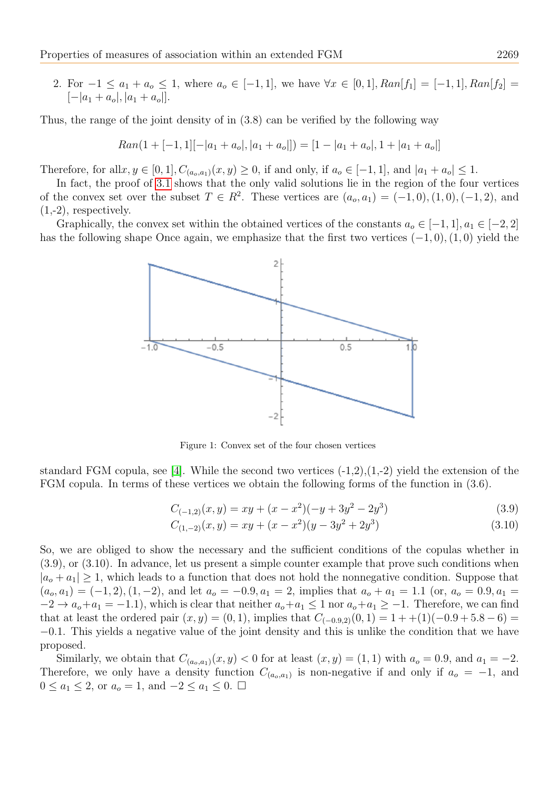2. For  $-1 \le a_1 + a_0 \le 1$ , where  $a_0 \in [-1, 1]$ , we have  $\forall x \in [0, 1]$ ,  $Ran[f_1] = [-1, 1]$ ,  $Ran[f_2] =$  $[-|a_1 + a_o|, |a_1 + a_o|].$ 

Thus, the range of the joint density of in (3.8) can be verified by the following way

$$
Ran(1+[-1,1][-|a_1+a_o|,|a_1+a_o|]) = [1-|a_1+a_o|,1+|a_1+a_o|]
$$

Therefore, for all  $x, y \in [0, 1], C_{(a_0, a_1)}(x, y) \ge 0$ , if and only, if  $a_0 \in [-1, 1]$ , and  $|a_1 + a_0| \le 1$ .

In fact, the proof of [3.1](#page-3-0) shows that the only valid solutions lie in the region of the four vertices of the convex set over the subset  $T \in R^2$ . These vertices are  $(a_o, a_1) = (-1, 0), (1, 0), (-1, 2)$ , and  $(1,-2)$ , respectively.

Graphically, the convex set within the obtained vertices of the constants  $a_0 \in [-1,1], a_1 \in [-2,2]$ has the following shape Once again, we emphasize that the first two vertices  $(-1, 0)$ ,  $(1, 0)$  yield the



Figure 1: Convex set of the four chosen vertices

standard FGM copula, see [\[4\]](#page-7-1). While the second two vertices  $(-1,2), (1,-2)$  yield the extension of the FGM copula. In terms of these vertices we obtain the following forms of the function in (3.6).

$$
C_{(-1,2)}(x,y) = xy + (x - x^2)(-y + 3y^2 - 2y^3)
$$
\n(3.9)

$$
C_{(1,-2)}(x,y) = xy + (x - x^2)(y - 3y^2 + 2y^3)
$$
\n(3.10)

So, we are obliged to show the necessary and the sufficient conditions of the copulas whether in (3.9), or (3.10). In advance, let us present a simple counter example that prove such conditions when  $|a_{o} + a_{1}| \geq 1$ , which leads to a function that does not hold the nonnegative condition. Suppose that  $(a_0, a_1) = (-1, 2), (1, -2),$  and let  $a_0 = -0.9, a_1 = 2$ , implies that  $a_0 + a_1 = 1.1$  (or,  $a_0 = 0.9, a_1 = 1$ )  $-2 \rightarrow a_0 + a_1 = -1.1$ , which is clear that neither  $a_0 + a_1 \leq 1$  nor  $a_0 + a_1 \geq -1$ . Therefore, we can find that at least the ordered pair  $(x, y) = (0, 1)$ , implies that  $C_{(-0.9, 2)}(0, 1) = 1 + (1)(-0.9 + 5.8 - 6) =$ −0.1. This yields a negative value of the joint density and this is unlike the condition that we have proposed.

Similarly, we obtain that  $C_{(a_o,a_1)}(x,y) < 0$  for at least  $(x,y) = (1,1)$  with  $a_o = 0.9$ , and  $a_1 = -2$ . Therefore, we only have a density function  $C_{(a_0,a_1)}$  is non-negative if and only if  $a_0 = -1$ , and  $0 \le a_1 \le 2$ , or  $a_0 = 1$ , and  $-2 \le a_1 \le 0$ . □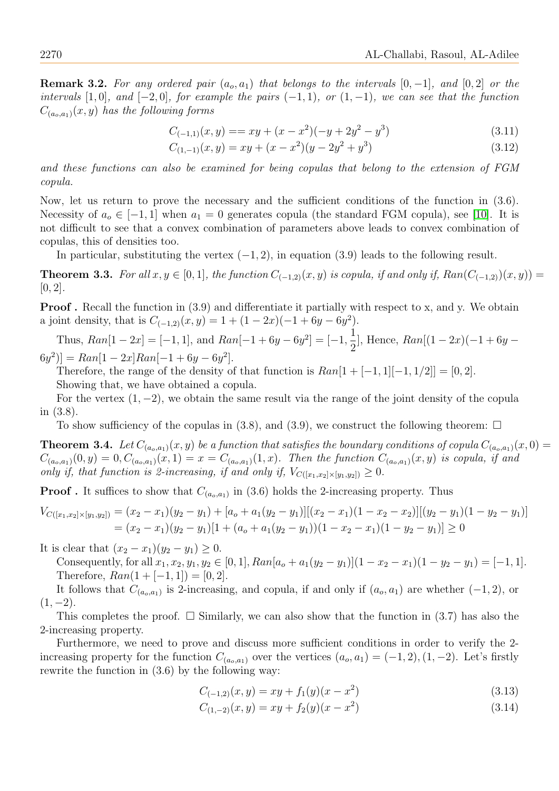**Remark 3.2.** For any ordered pair  $(a_0, a_1)$  that belongs to the intervals  $[0, -1]$ , and  $[0, 2]$  or the intervals [1,0], and [−2,0], for example the pairs  $(-1, 1)$ , or  $(1, -1)$ , we can see that the function  $C_{(a_0,a_1)}(x,y)$  has the following forms

$$
C_{(-1,1)}(x,y) = xy + (x - x^2)(-y + 2y^2 - y^3)
$$
\n(3.11)

<span id="page-5-0"></span>
$$
C_{(1,-1)}(x,y) = xy + (x - x^2)(y - 2y^2 + y^3)
$$
\n(3.12)

and these functions can also be examined for being copulas that belong to the extension of FGM copula.

Now, let us return to prove the necessary and the sufficient conditions of the function in (3.6). Necessity of  $a_0 \in [-1, 1]$  when  $a_1 = 0$  generates copula (the standard FGM copula), see [\[10\]](#page-7-4). It is not difficult to see that a convex combination of parameters above leads to convex combination of copulas, this of densities too.

In particular, substituting the vertex  $(-1, 2)$ , in equation (3.9) leads to the following result.

**Theorem 3.3.** For all  $x, y \in [0, 1]$ , the function  $C_{(-1,2)}(x, y)$  is copula, if and only if,  $Ran(C_{(-1,2)})(x, y)$  =  $[0, 2]$ .

**Proof.** Recall the function in (3.9) and differentiate it partially with respect to x, and y. We obtain a joint density, that is  $C_{(-1,2)}(x,y) = 1 + (1 - 2x)(-1 + 6y - 6y^2)$ .

Thus,  $Ran[1-2x] = [-1,1]$ , and  $Ran[-1+6y-6y^2] = [-1, \frac{1}{2}]$ 2 ], Hence,  $Ran[(1-2x)(-1+6y (6y^2)$ ] = Ran[1 – 2x]Ran[-1 + 6y – 6y<sup>2</sup>].

Therefore, the range of the density of that function is  $Ran[1+[-1,1]]-1, 1/2] = [0, 2]$ . Showing that, we have obtained a copula.

For the vertex  $(1, -2)$ , we obtain the same result via the range of the joint density of the copula in (3.8).

To show sufficiency of the copulas in  $(3.8)$ , and  $(3.9)$ , we construct the following theorem:  $\Box$ 

**Theorem 3.4.** Let  $C_{(a_0,a_1)}(x,y)$  be a function that satisfies the boundary conditions of copula  $C_{(a_0,a_1)}(x,0)$  $C_{(a_o,a_1)}(0,y) = 0, C_{(a_o,a_1)}(x,1) = x = C_{(a_o,a_1)}(1,x)$ . Then the function  $C_{(a_o,a_1)}(x,y)$  is copula, if and only if, that function is 2-increasing, if and only if,  $V_{C([x_1,x_2]\times[y_1,y_2])}\geq 0$ .

**Proof**. It suffices to show that  $C_{(a_0,a_1)}$  in (3.6) holds the 2-increasing property. Thus

$$
V_{C([x_1,x_2]\times[y_1,y_2])} = (x_2 - x_1)(y_2 - y_1) + [a_0 + a_1(y_2 - y_1)][(x_2 - x_1)(1 - x_2 - x_2)][(y_2 - y_1)(1 - y_2 - y_1)]
$$
  
=  $(x_2 - x_1)(y_2 - y_1)[1 + (a_0 + a_1(y_2 - y_1))(1 - x_2 - x_1)(1 - y_2 - y_1)] \ge 0$ 

It is clear that  $(x_2 - x_1)(y_2 - y_1) \geq 0$ .

Consequently, for all  $x_1, x_2, y_1, y_2 \in [0, 1]$ ,  $Ran[a_0 + a_1(y_2 - y_1)](1 - x_2 - x_1)(1 - y_2 - y_1) = [-1, 1]$ . Therefore,  $Ran(1+[-1,1]) = [0,2].$ 

It follows that  $C_{(a_0,a_1)}$  is 2-increasing, and copula, if and only if  $(a_0,a_1)$  are whether  $(-1,2)$ , or  $(1, -2)$ .

This completes the proof.  $\square$  Similarly, we can also show that the function in (3.7) has also the 2-increasing property.

Furthermore, we need to prove and discuss more sufficient conditions in order to verify the 2 increasing property for the function  $C_{(a_0,a_1)}$  over the vertices  $(a_0, a_1) = (-1, 2), (1, -2)$ . Let's firstly rewrite the function in (3.6) by the following way:

<span id="page-5-1"></span>
$$
C_{(-1,2)}(x,y) = xy + f_1(y)(x - x^2)
$$
\n(3.13)

$$
C_{(1,-2)}(x,y) = xy + f_2(y)(x - x^2)
$$
\n(3.14)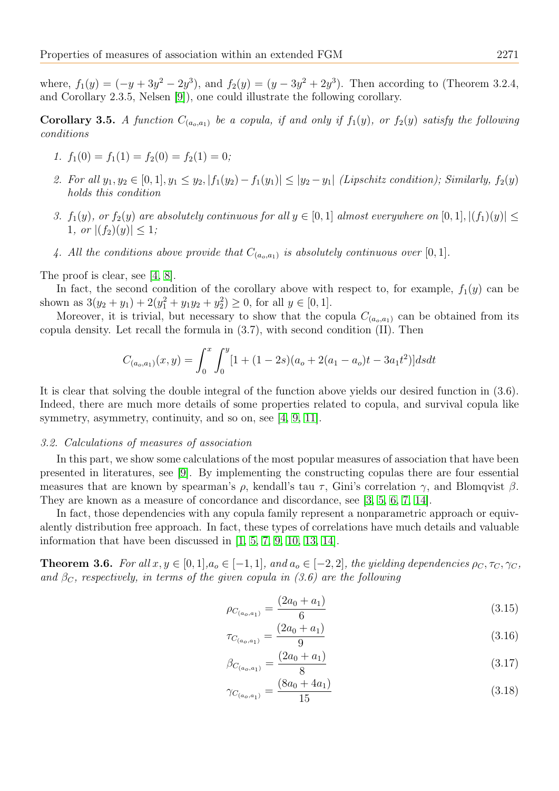where,  $f_1(y) = (-y + 3y^2 - 2y^3)$ , and  $f_2(y) = (y - 3y^2 + 2y^3)$ . Then according to (Theorem 3.2.4, and Corollary 2.3.5, Nelsen [\[9\]](#page-7-3)), one could illustrate the following corollary.

**Corollary 3.5.** A function  $C_{(a_0,a_1)}$  be a copula, if and only if  $f_1(y)$ , or  $f_2(y)$  satisfy the following conditions

- <span id="page-6-0"></span>1.  $f_1(0) = f_1(1) = f_2(0) = f_2(1) = 0;$
- 2. For all  $y_1, y_2 \in [0, 1], y_1 \le y_2, |f_1(y_2) f_1(y_1)| \le |y_2 y_1|$  (Lipschitz condition); Similarly,  $f_2(y)$ holds this condition
- 3.  $f_1(y)$ , or  $f_2(y)$  are absolutely continuous for all  $y \in [0, 1]$  almost everywhere on  $[0, 1]$ ,  $|(f_1)(y)| \le$ 1, or  $|(f_2)(y)| \leq 1;$
- 4. All the conditions above provide that  $C_{(a_0,a_1)}$  is absolutely continuous over [0, 1].

The proof is clear, see [\[4,](#page-7-1) [8\]](#page-7-2).

In fact, the second condition of the corollary above with respect to, for example,  $f_1(y)$  can be shown as  $3(y_2 + y_1) + 2(y_1^2 + y_1y_2 + y_2^2) \ge 0$ , for all  $y \in [0, 1]$ .

Moreover, it is trivial, but necessary to show that the copula  $C_{(a_0,a_1)}$  can be obtained from its copula density. Let recall the formula in  $(3.7)$ , with second condition  $(II)$ . Then

$$
C_{(a_o,a_1)}(x,y) = \int_0^x \int_0^y [1 + (1 - 2s)(a_o + 2(a_1 - a_o)t - 3a_1t^2)] ds dt
$$

It is clear that solving the double integral of the function above yields our desired function in (3.6). Indeed, there are much more details of some properties related to copula, and survival copula like symmetry, asymmetry, continuity, and so on, see [\[4,](#page-7-1) [9,](#page-7-3) [11\]](#page-7-8).

## 3.2. Calculations of measures of association

In this part, we show some calculations of the most popular measures of association that have been presented in literatures, see [\[9\]](#page-7-3). By implementing the constructing copulas there are four essential measures that are known by spearman's  $\rho$ , kendall's tau  $\tau$ , Gini's correlation  $\gamma$ , and Blomqvist  $\beta$ . They are known as a measure of concordance and discordance, see [\[3,](#page-7-9) [5,](#page-7-10) [6,](#page-7-11) [7,](#page-7-12) [14\]](#page-7-13).

In fact, those dependencies with any copula family represent a nonparametric approach or equivalently distribution free approach. In fact, these types of correlations have much details and valuable information that have been discussed in [\[1,](#page-7-14) [5,](#page-7-10) [7,](#page-7-12) [9,](#page-7-3) [10,](#page-7-4) [13,](#page-7-0) [14\]](#page-7-13).

**Theorem 3.6.** For all  $x, y \in [0, 1], a_o \in [-1, 1]$ , and  $a_o \in [-2, 2]$ , the yielding dependencies  $\rho_C, \tau_C, \gamma_C$ , and  $\beta_c$ , respectively, in terms of the given copula in (3.6) are the following

$$
\rho_{C_{(a_o,a_1)}} = \frac{(2a_0 + a_1)}{6} \tag{3.15}
$$

$$
\tau_{C_{(a_o,a_1)}} = \frac{(2a_0 + a_1)}{9} \tag{3.16}
$$

$$
\beta_{C_{(a_o,a_1)}} = \frac{(2a_0 + a_1)}{8} \tag{3.17}
$$

$$
\gamma_{C_{(a_o,a_1)}} = \frac{(8a_0 + 4a_1)}{15} \tag{3.18}
$$